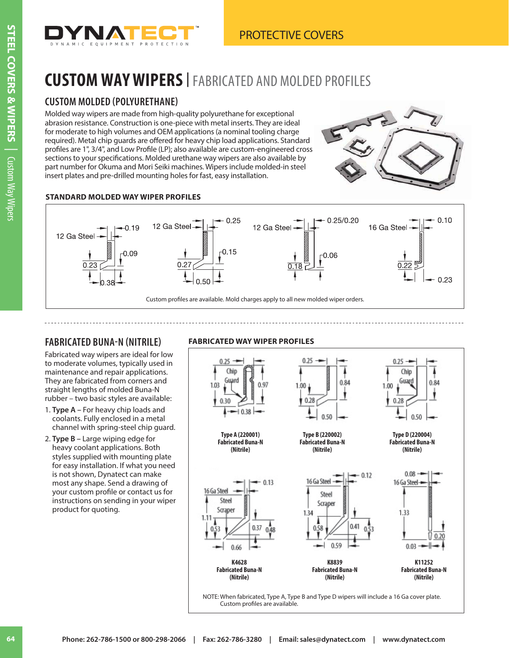

# **CUSTOM WAY WIPERS<sup>|</sup>** FABRICATED AND MOLDED PROFILES

### **CUSTOM MOLDED (POLYURETHANE)**

Molded way wipers are made from high-quality polyurethane for exceptional abrasion resistance. Construction is one-piece with metal inserts. They are ideal for moderate to high volumes and OEM applications (a nominal tooling charge required). Metal chip guards are offered for heavy chip load applications. Standard profiles are 1", 3/4", and Low Profile (LP); also available are custom-engineered cross sections to your specifications. Molded urethane way wipers are also available by part number for Okuma and Mori Seiki machines. Wipers include molded-in steel insert plates and pre-drilled mounting holes for fast, easy installation.



#### **STANDARD MOLDED WAY WIPER PROFILES**



### **FABRICATED BUNA-N (NITRILE)**

Fabricated way wipers are ideal for low to moderate volumes, typically used in maintenance and repair applications. They are fabricated from corners and straight lengths of molded Buna-N rubber – two basic styles are available:

- 1. **Type A** For heavy chip loads and coolants. Fully enclosed in a metal channel with spring-steel chip guard.
- 2. **Type B** Large wiping edge for heavy coolant applications. Both styles supplied with mounting plate for easy installation. If what you need is not shown, Dynatect can make most any shape. Send a drawing of your custom profile or contact us for instructions on sending in your wiper product for quoting.

**FABRICATED WAY WIPER PROFILES**

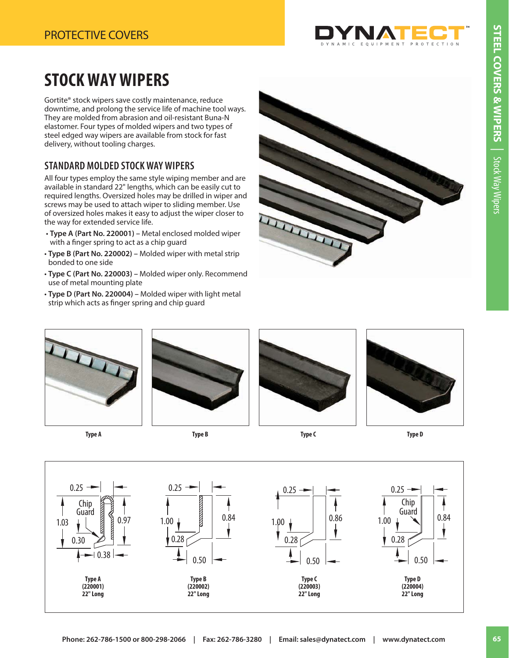

# **STOCK WAY WIPERS**

Gortite® stock wipers save costly maintenance, reduce downtime, and prolong the service life of machine tool ways. They are molded from abrasion and oil-resistant Buna-N elastomer. Four types of molded wipers and two types of steel edged way wipers are available from stock for fast delivery, without tooling charges.

## **STANDARD MOLDED STOCK WAY WIPERS**

All four types employ the same style wiping member and are available in standard 22" lengths, which can be easily cut to required lengths. Oversized holes may be drilled in wiper and screws may be used to attach wiper to sliding member. Use of oversized holes makes it easy to adjust the wiper closer to the way for extended service life.

- **Type A (Part No. 220001)** Metal enclosed molded wiper with a finger spring to act as a chip guard
- **Type B (Part No. 220002)** Molded wiper with metal strip bonded to one side
- **Type C (Part No. 220003)** Molded wiper only. Recommend use of metal mounting plate
- **Type D (Part No. 220004)** Molded wiper with light metal strip which acts as finger spring and chip guard





**Type A**





Type B Type C Type C Type B Type D



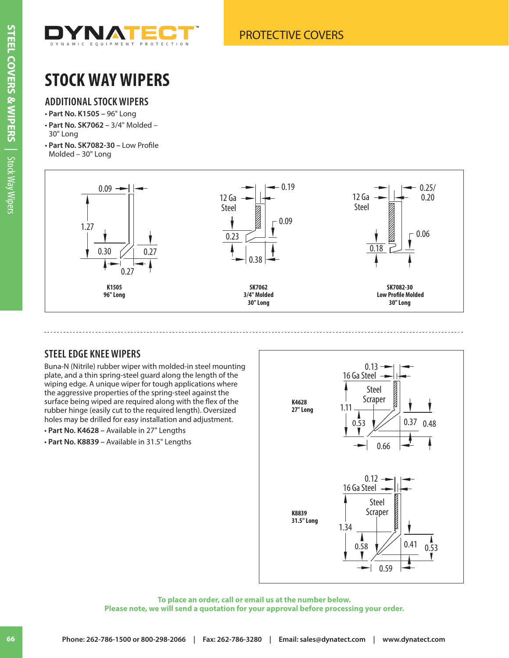

# **STOCK WAY WIPERS**

### **ADDITIONAL STOCK WIPERS**

- **Part No. K1505** 96" Long
- **Part No. SK7062** 3/4" Molded 30" Long
- **Part No. SK7082-30** Low Profile Molded – 30" Long



### **STEEL EDGE KNEE WIPERS**

Buna-N (Nitrile) rubber wiper with molded-in steel mounting plate, and a thin spring-steel guard along the length of the wiping edge. A unique wiper for tough applications where the aggressive properties of the spring-steel against the surface being wiped are required along with the flex of the rubber hinge (easily cut to the required length). Oversized holes may be drilled for easy installation and adjustment.

- **Part No. K4628** Available in 27" Lengths
- **Part No. K8839** Available in 31.5" Lengths



**To place an order, call or email us at the number below. Please note, we will send a quotation for your approval before processing your order.**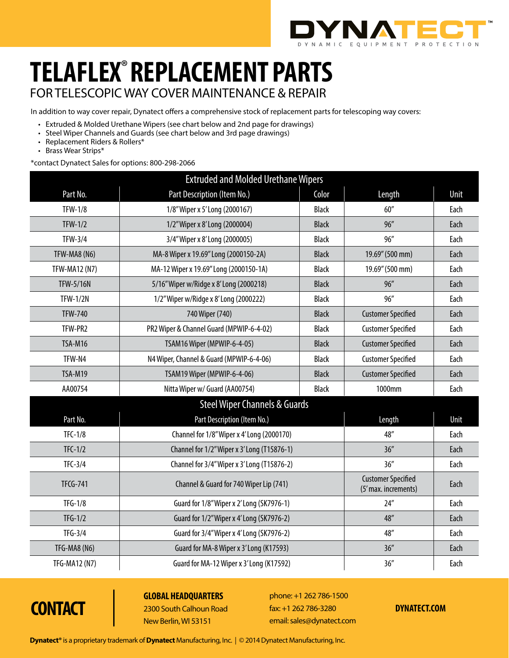

# **telaflex**® **Replacement parts** for telescopic way cover maintenance & repair

In addition to way cover repair, Dynatect offers a comprehensive stock of replacement parts for telescoping way covers:

- Extruded & Molded Urethane Wipers (see chart below and 2nd page for drawings)
- Steel Wiper Channels and Guards (see chart below and 3rd page drawings)
- Replacement Riders & Rollers\*
- Brass Wear Strips\*

\*contact Dynatect Sales for options: 800-298-2066

| <b>Extruded and Molded Urethane Wipers</b> |                                             |              |                                                   |      |
|--------------------------------------------|---------------------------------------------|--------------|---------------------------------------------------|------|
| Part No.                                   | Part Description (Item No.)                 | Color        | Length                                            | Unit |
| <b>TFW-1/8</b>                             | 1/8" Wiper x 5' Long (2000167)              | <b>Black</b> | 60''                                              | Each |
| $TFW-1/2$                                  | 1/2" Wiper x 8' Long (2000004)              | <b>Black</b> | 96''                                              | Each |
| <b>TFW-3/4</b>                             | 3/4" Wiper x 8' Long (2000005)              | <b>Black</b> | 96''                                              | Each |
| TFW-MA8 (N6)                               | MA-8 Wiper x 19.69" Long (2000150-2A)       | <b>Black</b> | 19.69" (500 mm)                                   | Each |
| <b>TFW-MA12 (N7)</b>                       | MA-12 Wiper x 19.69" Long (2000150-1A)      | <b>Black</b> | 19.69" (500 mm)                                   | Each |
| <b>TFW-5/16N</b>                           | 5/16" Wiper w/Ridge x 8' Long (2000218)     | <b>Black</b> | 96''                                              | Each |
| <b>TFW-1/2N</b>                            | 1/2" Wiper w/Ridge x 8' Long (2000222)      | <b>Black</b> | 96''                                              | Each |
| <b>TFW-740</b>                             | 740 Wiper (740)                             | <b>Black</b> | <b>Customer Specified</b>                         | Each |
| TFW-PR2                                    | PR2 Wiper & Channel Guard (MPWIP-6-4-02)    | <b>Black</b> | <b>Customer Specified</b>                         | Each |
| TSA-M16                                    | TSAM16 Wiper (MPWIP-6-4-05)                 | <b>Black</b> | <b>Customer Specified</b>                         | Each |
| TFW-N4                                     | N4 Wiper, Channel & Guard (MPWIP-6-4-06)    | <b>Black</b> | <b>Customer Specified</b>                         | Each |
| TSA-M19                                    | TSAM19 Wiper (MPWIP-6-4-06)                 | <b>Black</b> | <b>Customer Specified</b>                         | Each |
| AA00754                                    | Nitta Wiper w/ Guard (AA00754)              | <b>Black</b> | 1000mm                                            | Each |
| <b>Steel Wiper Channels &amp; Guards</b>   |                                             |              |                                                   |      |
| Part No.                                   | Part Description (Item No.)                 |              | Length                                            | Unit |
| $TFC-1/8$                                  | Channel for 1/8" Wiper x 4' Long (2000170)  |              | 48"                                               | Each |
| $TFC-1/2$                                  | Channel for 1/2" Wiper x 3' Long (T15876-1) |              | 36''                                              | Each |
| $TFC-3/4$                                  | Channel for 3/4" Wiper x 3' Long (T15876-2) |              | 36''                                              | Each |
| <b>TFCG-741</b>                            | Channel & Guard for 740 Wiper Lip (741)     |              | <b>Customer Specified</b><br>(5' max. increments) | Each |
| $TFG-1/8$                                  | Guard for 1/8" Wiper x 2' Long (SK7976-1)   |              | 24''                                              | Each |
| $TFG-1/2$                                  | Guard for 1/2" Wiper x 4' Long (SK7976-2)   |              | 48''                                              | Each |
| $TFG-3/4$                                  | Guard for 3/4" Wiper x 4' Long (SK7976-2)   |              | 48"                                               | Each |
| TFG-MA8 (N6)                               | Guard for MA-8 Wiper x 3' Long (K17593)     |              | 36''                                              | Each |
| TFG-MA12 (N7)                              | Guard for MA-12 Wiper x 3'Long (K17592)     |              | 36''                                              | Each |

**Contact**

**Global Headquarters** 2300 South Calhoun Road New Berlin, WI 53151

phone: +1 262 786-1500 fax: +1 262 786-3280 email: sales@dynatect.com

#### **dynatect.com**

**Dynatect®** is a proprietary trademark of **Dynatect** Manufacturing, Inc. | © 2014 Dynatect Manufacturing, Inc.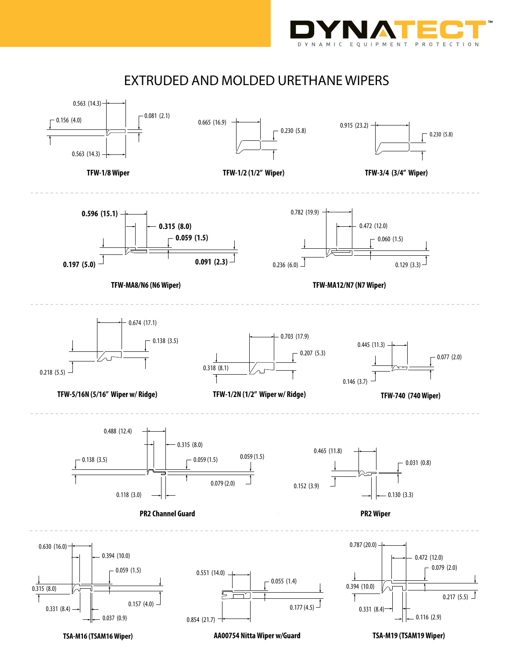

## EXTRUDED AND MOLDED URETHANE WIPERS